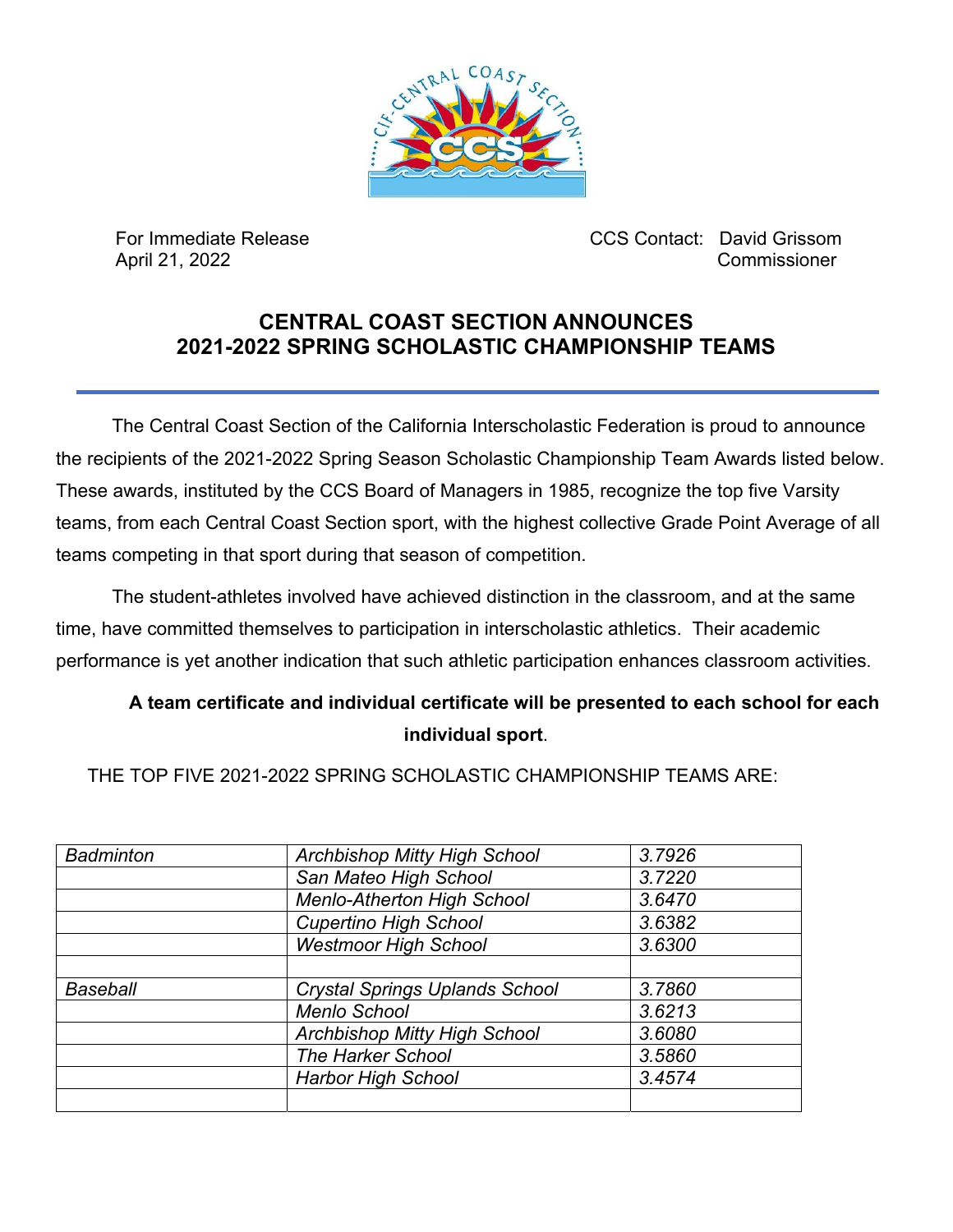

 For Immediate Release CCS Contact: David Grissom April 21, 2022 Commissioner

## **CENTRAL COAST SECTION ANNOUNCES 2021-2022 SPRING SCHOLASTIC CHAMPIONSHIP TEAMS**

The Central Coast Section of the California Interscholastic Federation is proud to announce the recipients of the 2021-2022 Spring Season Scholastic Championship Team Awards listed below. These awards, instituted by the CCS Board of Managers in 1985, recognize the top five Varsity teams, from each Central Coast Section sport, with the highest collective Grade Point Average of all teams competing in that sport during that season of competition.

The student-athletes involved have achieved distinction in the classroom, and at the same time, have committed themselves to participation in interscholastic athletics. Their academic performance is yet another indication that such athletic participation enhances classroom activities.

## **A team certificate and individual certificate will be presented to each school for each individual sport**.

THE TOP FIVE 2021-2022 SPRING SCHOLASTIC CHAMPIONSHIP TEAMS ARE:

| <b>Badminton</b> | <b>Archbishop Mitty High School</b>   | 3.7926 |
|------------------|---------------------------------------|--------|
|                  | San Mateo High School                 | 3.7220 |
|                  | <b>Menlo-Atherton High School</b>     | 3.6470 |
|                  | <b>Cupertino High School</b>          | 3.6382 |
|                  | <b>Westmoor High School</b>           | 3.6300 |
|                  |                                       |        |
| <b>Baseball</b>  | <b>Crystal Springs Uplands School</b> | 3.7860 |
|                  | <b>Menlo School</b>                   | 3.6213 |
|                  | <b>Archbishop Mitty High School</b>   | 3.6080 |
|                  | <b>The Harker School</b>              | 3.5860 |
|                  | <b>Harbor High School</b>             | 3.4574 |
|                  |                                       |        |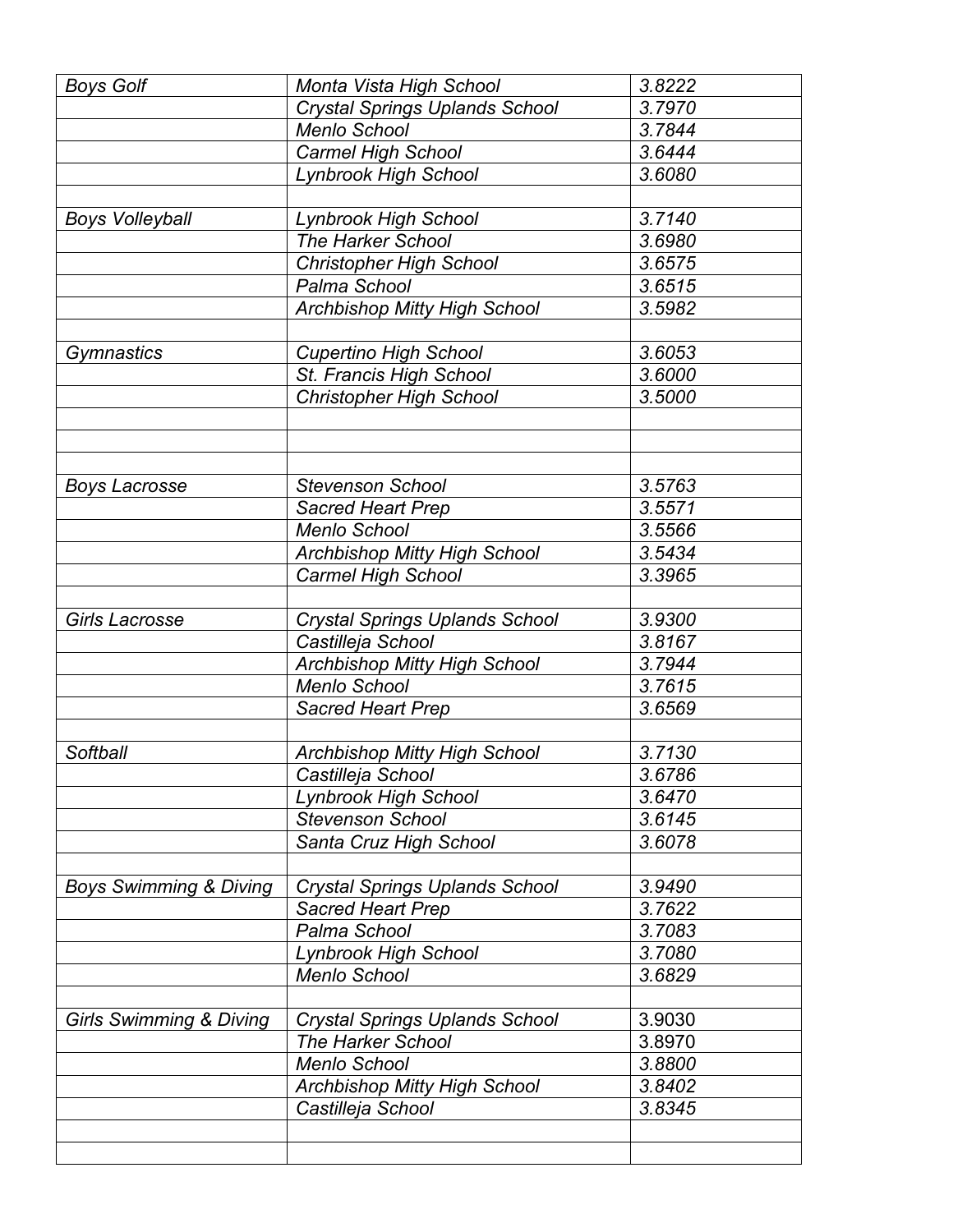| <b>Boys Golf</b>                   | Monta Vista High School                                  | 3.8222           |
|------------------------------------|----------------------------------------------------------|------------------|
|                                    | <b>Crystal Springs Uplands School</b>                    | 3.7970           |
|                                    | <b>Menlo School</b>                                      | 3.7844           |
|                                    | <b>Carmel High School</b>                                | 3.6444           |
|                                    | <b>Lynbrook High School</b>                              | 3.6080           |
|                                    |                                                          |                  |
| <b>Boys Volleyball</b>             | <b>Lynbrook High School</b>                              | 3.7140           |
|                                    | <b>The Harker School</b>                                 | 3.6980           |
|                                    | <b>Christopher High School</b>                           | 3.6575           |
|                                    | Palma School                                             | 3.6515           |
|                                    | <b>Archbishop Mitty High School</b>                      | 3.5982           |
|                                    |                                                          |                  |
| Gymnastics                         | <b>Cupertino High School</b>                             | 3.6053           |
|                                    | St. Francis High School                                  | 3.6000           |
|                                    | <b>Christopher High School</b>                           | 3.5000           |
|                                    |                                                          |                  |
|                                    |                                                          |                  |
|                                    |                                                          |                  |
| <b>Boys Lacrosse</b>               | <b>Stevenson School</b>                                  | 3.5763           |
|                                    | <b>Sacred Heart Prep</b>                                 | 3.5571           |
|                                    | Menlo School                                             | 3.5566           |
|                                    | <b>Archbishop Mitty High School</b>                      | 3.5434           |
|                                    | <b>Carmel High School</b>                                | 3.3965           |
|                                    |                                                          |                  |
| <b>Girls Lacrosse</b>              | <b>Crystal Springs Uplands School</b>                    | 3.9300           |
|                                    | Castilleja School                                        | 3.8167           |
|                                    | <b>Archbishop Mitty High School</b>                      | 3.7944           |
|                                    | Menlo School                                             | 3.7615           |
|                                    | <b>Sacred Heart Prep</b>                                 | 3.6569           |
| Softball                           |                                                          | 3.7130           |
|                                    | <b>Archbishop Mitty High School</b><br>Castilleja School |                  |
|                                    | <b>Lynbrook High School</b>                              | 3.6786<br>3.6470 |
|                                    | <b>Stevenson School</b>                                  | 3.6145           |
|                                    |                                                          | 3.6078           |
|                                    | Santa Cruz High School                                   |                  |
| <b>Boys Swimming &amp; Diving</b>  | <b>Crystal Springs Uplands School</b>                    | 3.9490           |
|                                    | <b>Sacred Heart Prep</b>                                 | 3.7622           |
|                                    | Palma School                                             | 3.7083           |
|                                    | <b>Lynbrook High School</b>                              | 3.7080           |
|                                    | <b>Menlo School</b>                                      | 3.6829           |
|                                    |                                                          |                  |
| <b>Girls Swimming &amp; Diving</b> | <b>Crystal Springs Uplands School</b>                    | 3.9030           |
|                                    | <b>The Harker School</b>                                 | 3.8970           |
|                                    | <b>Menlo School</b>                                      | 3.8800           |
|                                    | <b>Archbishop Mitty High School</b>                      | 3.8402           |
|                                    | Castilleja School                                        | 3.8345           |
|                                    |                                                          |                  |
|                                    |                                                          |                  |